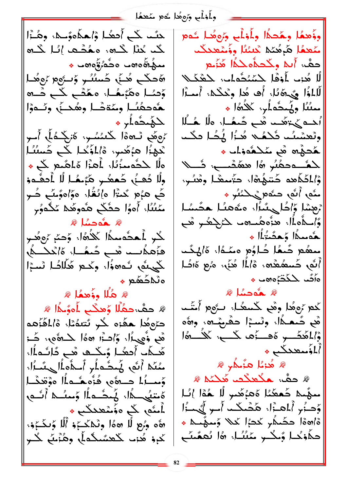وأُوْلُم وَرُوهُا هُو مُعَمَّا

حبَّب كُلِّي أُحِيدًا وْإِحْدَاهُوْسِيدْ. وِهُــٰٓزَا كُم كُنْل كُــْ هُــُ مَـهُـْـَـْمَ إِنَّا كُــْ هُ  $\bullet$   $\rightarrow$   $\bullet$   $\bullet$  $\bullet$  $\bullet$  $\bullet$  $\bullet$  $\bullet$  $\bullet$ ھَڪُل هُـنَّى ڪُمنُنُــو وَسَرُّوم رُوهُــا وَْصُلًّا هِمَّىْشَا، هِمَّضْعِ كُلَّعِ ضُـهِ هُوحِفُنُـا وِمُوَّصْـا وِهُحــنِّ وِنُــووْا لاَهُمَدُه اُم \* رُوهُم لَـــ96 لَــُـمُسُـــو، كَارِجُــدُلُّ أَسو ِّكُمْ:ًا هِبُعُسٍ. ةُالمُّكُما كُبِ كَس*لْتُ*ا ەلَّا حْجُومِيزُىْلْ، بِأَهزَّا وَاهْبِع كَي م ولًا دُهـنُ حَممُــر هَبُـمُــا لًا ـآدهُــو. كُمْ هِبُعْ كَمِثْرًا وَإِنْقُلْ: وَوَّاوَقِيْكُمْ شُهْرٍ مَعْنُنًا: أُووُل حثَكَ هُومَدا عَكُومُ R Lisain R لْحُرِ الْمَحَّدَمِيثًا كَلاُهُا. وَحَبَّ رُوهُـرِ فأهدُب هُبِ شَمُّاً: هَا يُحْسُرُ لَّكِيمَةَ وَهُوءُا، وِكَنْ هَٰلَائُنَا نَسْبُرَا o îAcăa + **& هُلَا وذُهها &** *®* حقٌّ حقُلًا وُهكُم لَّاهوُكُلُّا ® دَىْهِمَا هِقَرْهِ كُلِّ تَتْلَهُمْا: 1، 25هَ مَمَّ هُمْ وُهِيدًا، وَاصِنْ هِهَا لِمَسْعَفٍ، حَسْنَ مَّــكَ وَ أَحمُــا وُ كَـــد مَّــو كَانَــو لَه ال مَالْمَعْلَى الْمَاهَمِ أَحِدْهِ مِنْ الْمَنْمَاءِ الْمَنْمَاءِ مِنْ الْمَنْمَاءِ وِّسِــرُا حَــوَّى فُزُهِـعُــواْلِ ووْقِدْــلِ رصناً كمسنَّما أَمْسَكُمْ ، الْمَسِينْمَة أَمَنُهِ، كُمْ هُ مُمْعَدِكُمْ \* هُه ورُم لًا ههُ! ونَمْكَّدٍٓوْ أَلَّا وَيَكْدَوْ. كرو هُزم كَعسَكُملُ وِهُنْمَعُ كُسِرٍ

وؤهمًا وهُحدًا وأَذْلَبِ وَرُهِمُها شُوم سُعمُا هُرِهُنَا كَسُلًا وَنُسْعَدَكُ حقٌّ، أَبِي وكُحدُّه جَدًّا هُنَّ مِع لًا هُزِ أَوْقًا حَمَّمُدُّه! حَفَّكَ لَّالِمُوْا فِي هَالِدٍ. أَهِ هُدا وِيْحِكْمْ: أَمِسْأَل معلَّلًا ويُحدَّدُوا \* لَلأَهَا \* أَحْدِيَّةٍ مِنْ مَسْتَمَرِّدِ مِنْ الْمَسْتَمَرِّدِ مِنْ الْمَسْتَمَرَّدِ مِنْ الْمَسْتَمَرَّدَ مِنْ وتَعشِيبُ ثَكْهُلا هُذُا هُكُما مَكْت هُدؤُره مْع مُحْهُودات \* وْ}اكْلَاهم كْتْنْهُرْهْا. حَتّْمْعْمْلْ وْهْنُبْ: • سُنْمُكِنَّ pشُمَّ رِمْنُهُ مِنْ مِنْ ترهيم النْصَفَة الْمَعْرِ الْمَالِيِّ وَالْمَسْتَمَرَّةَ مِنْ الْمَسْتَمَرَّةَ مِنْ الْمَسْتَمَرَّةِ وَّٱسِلَّٰہَ آَٰا ٗ مِنۡہٖٖٯمُـہٖ ۖ کَے کَے جُمْعِ مُ هُ الْمُعْمَدُ الْمُعَمَّرُ معھُمِ شَمَّا شُاوُمِ مَمَّاْ، کَالِمََّت أَلَّه حَسفُعْهِ وَالْمَا هُنَّى وْعِ وَاحْلَ ەأكُىدىككتە مەھەبتە 2 Lisan 2 كُمْ رُومُها وَهْلِ لَكْسِعُداً: بِهُوْمٍ أَمْنُت هْمِ صَـٰعـٰدًا، ونُسبْرا حفْرِمْــهِ، وهُه وْالمُكْسِرِ هُڡِيَّوْمَا كُلْسٍ: كَلْأَسْرَهُا أاؤْمعدكم \* ه هُز*نا هزْملُہ ه* @ حقَّ، مكعكَّف مُكِّنَّهُ @ معهَّمه حَمعَمًا هَمْ مَّس لًا هُمْا إِنَّا وَحِزُرٍ ٱلْمَدْأَا، هَضْكُما أَسِرٍ ﴾ الله ا ةُاهةَا حَضَمُّرٍ كَحَزَّا كَلا وَسَهَّسَطَ \* حكَّوْكُمَا وُمِكْسِ مُمْتُسًا. ۞ تُعَمَّمَتَ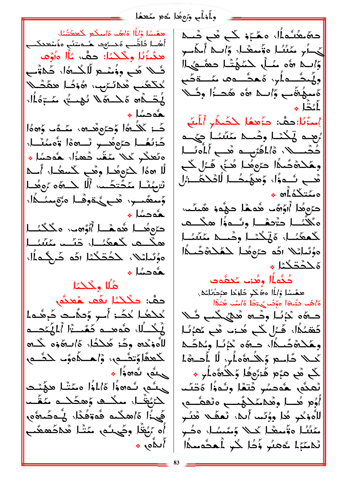وأذاب وروها عُوم منعمًا

همَّسُل وَ*أ*َلَّا وَأَهْبَ وَأَسْكُمْ كَعْعَتْنَا. أَهُــا دُاتُب هَدــرُوم هُــمتنّب هزُسْعدكــب هدَّىُّزُلُمْ وِكْلّْحُلّْ: همُّه: عُلَّا هُوُها ئَــلا مَّــع ووُّمْـــع لَّاكُــــهُا. كَــاوُّـــع ىُنْكْشُبِ شْدْنَـٰزَىبٍ. شُوْتُـا مْتَمَتْــٰلا بَالْمُقِــدُّ مِنْــدِيَّةَ لَا تُـهِــتُنِ مَنْــتِرْهُ أَلْفَ هُ حمُّل ﴾ كَــز ݣْلْــْهْا وۡحَرِّهِۿـــه، مَـْــَهُٮ وۡهِهُا كَرْنُعُــا حَرْهِيْـــو نْـــــ9ەْا وْهُمُنْــا. ەئعكىر ئىلا مَمَّقُد دْھۇل ھُەدسُل ھ لَا هِهَا كَيْهِقُمَا وَقْبَ كَمْعَقَا. أَسْمَ تْرَجُنْـا مَّحَّتحَـــ، ٱلْا ـكــةَه رُوهُــا وَسِعْمِيسِ الْمَسْمَوْمِ الْمَسْمَوْمِينَ مِنْكُمْ مِنْ الْمَسْمَعِينَ مِنْكُمْ الْمَسْمَعِينَ مِنْ هُ حمله دَمْ وَهُـــا هُـوهْـــا ٱلْأَوْرَوبِ. وكُـُـُـُــا ھڭــڡ ݣﻤﻤِّﻨـَـا، ﻗﯩّـَـﯩ ﻣّﯩّﯩﺌـا ەۇئىلىْلا، خىخكىلاركە كېڭمال. هُ حِسُلَ » هُلًا وحْكِمًا حفْ: حكْكْمًا بِفَفْ هْعْدُو، مُحْتَمَٰا مُحَّة أُسر وُتمَّست تُبِشُّما لْمُكْسَلًا، هُوهِمِ دُهُمَمَةُ الْمُلَمَّحِمِ للْهُوْيْدِهِ وِجُزْ هُكِجُلْ: هُ/سِهُوْهِ كُلْمِهِ كَعِفَاؤِتِتُـم، وْاهِــكُمْوَى حَثَــمٍ Hosé de حَدَمُه الشُّدُه اُهْلَاهُ اهْمَشْ رِمشْر لْكَرُبْقَـا، مكْــد وُهكْــد مُغَّــد كَيْرًا كَاهِكْمُ هُوَوْهُكَا: إِنَّـوْهُمَانَ أَه رَجُعْلَ وَكَيْدٌ مِكْرِكٌمْ وَحَسَنَةٍ مِنْ  $\int d^{3}y$ 

دەّىھْتُەلُما، ەھّبَرْوْ كُلّ ھُل ضُلّا حُكْرَبَ مَعْتُبُهَا وَوَجْعِيْهَا، وَٱلْكُلَّامِينَ وَّاسِمْ هُو مُنْ) لِمُتَهُنْكُمْ لِلَّهُ مَهْلِكَ الْمَ وهُمشُـــه أبن هُـمشَـــه مَـــــة ضَــع كَسِيْتُفَبِ وَٰاسِيا ۞ُهِ هَجِدًٰا وِجَسِلا <u>أَءُذَا ۞</u> }معزَّئا:حقَّ: حزَّهمَّا كَضَكُم أَلَمْتَ مرحه المنشد هسكا وأسلام التكريم وبالمحتمدة دُدْسِـــلا، ةُالمُعَرُبِـــه مْــــبِ أَلْمَة نُـــا وهَٰذْهُكُمُّا حَرَّهِ هُـٰٓ فَـٰٓ وَٰٓ لَكَـٰٓ وَ قْبِ ئَےؤًا، وَهِكْبِحُسا لُاكْكِكَسَرْرا • oldžimo دَرُهِمَٰا ٱلرَّهَٰٮ هُدهُا دهُهُ; هُنْسُتَ: ويُلأَسُل حَتَّدَهْـــا ونُـــوذُا هكْــــڢ لَّمَعَنُــا، هَٰهَكُنْــا وِدْمـــه مُنشَد ەۇئىلىْلا ائە كۆەھلىككىنى ئىسلا أَهْلِدْدْخُدْا \* كُثُماُ! وهُنِ كُدْهُوت همَّسُا وْالْمَا هَ هَكُر خَاوْدُا هَرْجَٰالُكَا. هَاهُــا حَتَّــهَا وَوَّحٌـا حَجَّـلَ وَأَمَّـدَ هُتَمَّا حـةه كْبُرُـا وحْـه مْكَيْكُبْ ئَـْلَا كَفْمُكُلْ، فَـُـُلِّ كُــعُ مُــزم مْــعْ كَعْزُلْهِ ل وهَّدْهْشُمْلُكَ حَقُّه كَزْنُنَا وَيُمْضُمْ كَحِلًا حُاسِعٍ وَجَلَادِهُ مِلْرٍ. لَا لِمُحَدِّهُ لَ كُمْ هُمْ هَزَمٍ فَزَرْهِقًا وَكَلَّهُ مِلَّدٍ \* ثعثُم هُوصُب ثَتَهْا وِئُووُّا وَدَنَّب أُؤم هُــا وهُدَسَكُهُـــ هوْهُـــــــو الأَوْذُكُوا هُا وَوُنَّسَا أَبْدًا: لَعَقُبُه هُنُـو مَعْنُفًا وَقُصِعْنَا كَلَّا وَمُعْنَفًا، وَضُر تَمْسَبَطْ مُحَسُّرٍ وَّجَا كُلِّ الْحَدُّومِيْهَا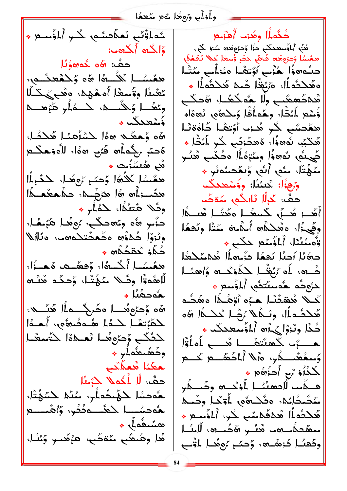وأذاب وإوها هُو مَعْعَمًا

شَمَاؤُنِّي نَعِكُمِشُمِ ۚ كُبِ ٱلْأَسِعِ ﴾ حقّْ: 6ه گەھۇڭل همَسُــا كَلُـــةُا ةَه وَكَمْعَنَــُــم، للْكَرِرِ مِعْهِ مِنْ أَهِ هُوَ الْمُعَمِّدِ وَهُوَ مِنْ الْمَعْدَ وكعُـــا وَلِلْمَــــم، لِمَـــهُ أَرِ هَٰٓ: مِمَـــم  $\bullet$   $\tilde{\bullet}$ هُه وَحِقَىٰهِ هِهُمْ لِمُتَزَعِيْهِ هَٰذِكُمْ. ەَحِيَّ رېگەلُه فَيَّى ھەُل للەُوْھىك هُم هَٰىسٌنُد \* همَّسُل كَلاُهُ| وَحِسْرِ رُهِهُــا. ۖ حَـكَــرِـلُا هدًىــزِلَه هُ هَرْجُـــــــــهِ حـمْــعمْــــــــهُ ا وثَلا هُتلُمُّا. حدُمُّهِ \* دَّىبِ ۞ُهِ وِمُهْدَكَبٍّ ۚ وَهُمَا هَٰٓ مُمَاٍّ. وِنْزَوْا حُكْوُّه ەَحْمَتْىدەھە. ەنَّالْلا كُلُّوْ يْحْكُمُّ \* همَّسُا أَحْدهُ ا. وُهِهَــها هَـمـزًا. لْلْهُووْۤا وشُـلا مُعْهُنْدا. وُحكُـو هْنْـرُو مُّەحمُىُّا \* هُه وۡحَرۡ9هُـــا هخۡمِیۡـــه اَا هَنَــــــه. لضَبَّتِهْـا لِحْـهُ ا هُــوصُّونَ، أَهــهُ ا لحثَّكُب وَحرِّهِ هُــا نُعــاهُا لِنُزْمِعْـا وَحَيْفُمِعْدُواُمٍ \* معَمْا مُعَذِّمَه حفٌ، لَا غُمُدا حَبَىٰل هُوصُل حَجَّىدُو أَبِن مُنَّكَ حَمَّجُتًا. هُهجسُــــا لحَقُــــهجُمُر، وَٱهُــــــــــمِ هشگه آب په هُا وهُمعٌبِ مُةصِّبٍ هزُهُمبِ وَمُنُـاً.

كُنْمَلًا وهُزم أُقْزَمِ هُنَّهُ ٱلمُؤْسِعِدِكُمِ خُزَّا وَجَرَّةِهُمَّةَ مَنْتَوَا كُلِّ.<br>هِمُسُلَّا وَجَرَّةِهُدَّةَ قُرْضٌ حَجْرٍ وَسَعْلَ كِلاَ تَقْمُكُمْ حنُّەھۈُا ھُنْبِ ٱوُتھْـا ەءُنلُّبِ مَنْشَا ەھَكشەمُلُك وَرُغَقًا ضُبط هَكشُه مُلَّة مُلَّا \* مْدْكُمْمَتّْبِ وِلَا حُدْكُمْــا. 2ْحَكّْب ذُمْعِ لَمُتْلَى وِهُولُقَا وُكُوهُ وَ وَوَاءِ ھەّحسَّى كُر ھُـزى آوٌتھْـا خَاهُۃنْـا هَكْبُ نُوهوًْا، وَهجَرْتُبِ كُلِّ لِّمُتْتَلَّ و ضَيْبَهُ ۖ فَيَاءُ الْمَتَوْءُ أَءُلَّا مِثْنَيْتِ شَيْتِ مَّهُتَا، مِنَّى أَنَّى وَيَعْجِبُنَّهِ \* وَرَهِزًا: كَعِمْلًا: وَوَمْعِيْكُمْ حفٌ: كَبِلًا تَالِكُمْ مَّةَضَّ أَهَٰـــٰ; هُـــَىٰ كَـمِعُــا وهَتُــا هُنـــدًا وَفِّيءُ!. هِ تُعْلَمُهُ أَعْدُمَهُ مِّمْنًا وتُعْمُلُ **َوْْەمْئُنْدَا، ٱلْمُؤْمَّدُ بِدَكْنِي مِ** حەْنَا آجىُا ئېغَا جَنِيهِ أَا شَهْتَكِعُا حْسِرِهِ ۚ. لَمَا يُهْتُسا كِلّْهُوْكِسِرِهِ ۗ وُٱهْمُسَا حَرَّة هُ مَعْ مَتَتَدَّى أَلْمَ مَعْ \* كَــلًا ۚ شَقَفَنْـل هـرُه ٱوْعَـٰـدًا ۚ هَمُحَـُـه هَٰٓدُهٗ ۖ وَاٰ . وِنْـدُلا رُضًا ۚ دَمَـدُا هَ ه حُكْلِ وِنْزَوْلِيْ أَنْ أَلْمُوْمِعْدِكْمْ \* هـــــرُب كَعشَتْهَــــــــل مْـــــــي أَملُوْٓا وَسِمُعَمَّـــدُنِ، وَٱللَّهُ ٱلْمَضَّــعِ كَـــع لْكُنُاوْ رْمِ أَحْزُهُمْ \* فسلّمت لّلصمنُسل لمُوْتَسِيهِ وحَمِيلُو مْكُمْحُائِكا، وثَكْلَوْهِ، لَمْقِيْكَا وضْحِكَ هُكِثُمَاً أَهْكَفُكُمْ جُرٍ. أَلْمُ مِعْ \* مىھّدەمىسى ھْئىر ھَڪْمى لَامْلَا وكَعْسًا كَرْهُـــْهِ، وُحِمّـرٍ رُوهُــا لِمُوّْـبِ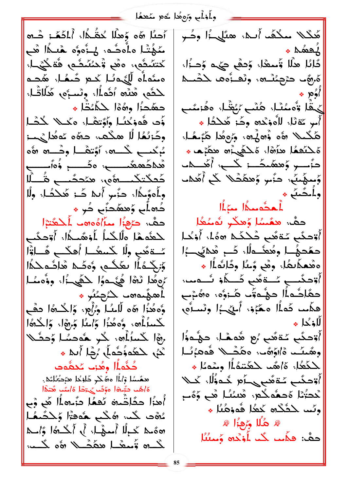وأُوَلَٰى وَرُوهُا ـهُـمْ ـمُـعفَا

أَحِبًا هَ وَجَمَلًا خُضَّمًا. أَلْمَضَعَ حُــِهِ مَّهُتْا ماْهِشُه: لِيزُّهوُه هْبِدًا هُبِ لْحَتَمَعْهِ، وهُم تُحمُنَّمُه وهُمَكِيْمٍا. معدَّم لَلْهُما كُم حُنفًا، هُجـه ِكْتُم، مْنْه رُثُماً!. ونْسِرُّى هَٰكَلاَتْـا. حمّحزًا وهُءًا حكَّمُتْتَا \* ؤُد ڤُەۏ<sup>ْ</sup>كْتُـٰا وَزُوْتڤْـا، ەڭـــلا نْكْشْـا وحَزْنُهُا لَٰا هكْمٍ، حقِّه عْمَعُلاجِمِ مُوكَّسِبِ كْتِبْهِ، أَوُّتِهْكُمْ وَهْتُ 10 \$0 هُده خَمْعَهُــــــــــن وَمَنْـــــــــــن وَمُشَمّــــــــــن وَمَدَّة اللّـــــــــن كُمكْتكْسِــــ«ةُٯ، مئحمَّســـــع مُّـــــلَّا وِلُموۡمِدٗا، حِنۡسٖ أَبِهِ كَبۡ هَٰذِكُـا، وِلَٰا حُدهَ أَبِ وَهِجَمَحَنَّبِ حُرِ \* حقَّ، حَرْهِ أَمْ مِمَاهُ وهو الْمَحْمَّةِ ا لحَثَمثَا وَلَلَكُما ۖ أَوْهُمكُل! ۖ أَوْحَكُب عُــةمُّد ولًا ۖ كُنْتَخُــا أُفكُـــو فُــارْوَا وَٰٓزِكُٖ؎ٗاٗا ٮعَكُـم وۡوَكَـٰهٖ مۡدٰاحُـٰہِكُمُّا بْهِقُا نْهْا فُيْحِوْا حْفِّيجْا. وفُومُما أهمَّىه من المُرْجِئْسُ \* وُّەھُدًا ھَوَ لَّاسُلَّا وُرُاْجِنَ وَالْحُسْرَا حَفَّے كْسِدَٰلُهِ، وُوهُذَا وَإِسْلَا وَرِهَا. وَالْحُدُوا بِرْهَا لَكْسَأَلْمَعَ الْكُلِّ الْمُعْجَمَاتِ وَحَشَكَا كْنُى لِكَعُدُوُحُدُكُ رُجُلٍ أَبِكِ هُدَاءِ \* كُنُّه لُما وهُزم كَحقُّوت همَّسُا وْاٖاْا هِ هَ كُر كَاوْكا هرِّجَانُامُکا.<br>هُ/هُــٰ جَنَّــْهَا هَوِّضٌــٰ <sub>كُن</sub>تِّطْ هُ/مُب هُتمَّا أُهزُا حثَاضَة نَعفًا دَّمهاً لَا هُج وَج مُهْد كُت، هُكْبٍ هُوفُرًا وَلِكْمُهُا هِهُما كَمِلًا أَسْهَٰلُو أَنْ أَكْتُهُ أَوْلَىٰ الْمُسْتَمَرُ كْتُ وَمُعِضًا مِكْشُمًا وَهُ كَتَبَ.

هَٰلَـٰلا مملَّـٰفَ أَلـه: هلَّلَىـٰۃًا وِضُـٰو  $\bullet$   $\Delta \bullet \Delta'$ دَّائا هِلَا وَّسِعْاً: وَحقَّ حيِّ وَحـُرًا. هُ رَبُّ دَرْجِمُلُــهِ. وِلْڡــ;ُّهِ لِكَــْـــِمْ حْمَدُوا وَأَصْفَاءَ وَمِنْكُمْ وَهُوَ مِنْ وَأَعْرَضْهِمْ وَالْمَحْمَدِ أُمِرٍ مِّقَالًا: لِلْهُوْكُلُهِ وِضَّرْ هَٰكُكُلُ \* هَكُمْلًا هُوَ وُهِ هُونَ وَرُوهُا هَزَمَهُا. هُ لِمَنْعَمُ الشَّهْرُ وَلَكُنْ مَا مُعَبِّرَ مِنْ مَعْتَبِهِ دَّىسو ۆھكەكسە كىسى، أَكْسىلمى وَسَمِّيَكَ، حَنَّىرِ وَهِكَشَلا لَكَمْ أَهُدَات وأُمشُبٌ ﴿ الْمَحْدِمِيمًا بِمَ الْمُ ْ هَمَّ: هَمَّسُلُّ وُهكُو شُمْعُلُ أَوْحِكُم عُةَهُم شَكْتُكُمْ 1، 14 أُوْخُلُ حمَّحهُــا وهُعنَــولًا، ضَــو هُمْنَىـــوُا ەھْھكَابْھَا، وقْع وَّسُل وطَّابُّه لَٰهِ مَ حمَّاحُــٰه أَا حهُــٰه وَّٰٮ هَـٰـٰٓۥوْهِۥ ۚ هُ مُّـٰٓٓب هِكْمِي هُدِيًا مِعْبَوْ. أَسْلَيْهِ! وِنْسِلُهِ لأذكابه أُوْحِكُم مُـٰۃَمَٰٓى ہُم مُّہمْا وَحُمُّوَاْ $\frac{1}{2}$ وهُمنُــد ةَااوَّهُــــ: وهَـُــَـــلا قُوهِزُنُــا لِكَحُكُلُّ هُ/هُم لِكَعْنِيْهُ أَلَّا وِسْمَهُمْ \* أَوْحِكُبِ مُـٰةَهُدِي مِلْعَ مُحْدَوَّلًا، كَــلا تْدِيُّنْا ەْھەمْكُمْ، مْتِيْتُا مْسْ وْەْس وِنِّسا لِلشُّلُام كَعُلَّا هُاوَهُنُا ﴾ **& هُلا دَرْهِزُا هُ** حقّْ: فَلَمْتَ لَکُتْ لَمُؤَكِّدَهِ وَمَعْتُلَ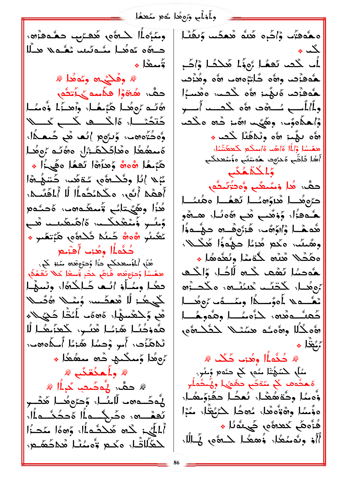وأذاب وإوها هُو مَعْعَمًا

وِمَبْهُماْ لِكُمْوِي هُدَمِهِ حَقْدَهْ: حدةه مُوهُدا مِنْدمُنْد مْعْدِيهِ هِـلَا وَّسعْدا پ ® وقُلْبٌ مِنْ وَيُمْ فَلْ حفٌ هُـرةوْا هِـكَسو حَيَاتِقُو هُنَّـهِ رُوهُــا هُبُمُـاً. وأهــزَا وُومُــا کُتکُٹا، ہٗانگے کے حملہ وَّەكْتُوھى، وَبَرُّەم إِنُمَّ شَي شَيمْدًا. ەْمەھھُل ەھْلِكَكْتْرَان ەھْكُ رُەھُما هَبُمُا هُوهٌ وَهِلَهُا نَعْمًا وَهَيْزًا \* مَّ ۚ إِلَٰہَ وَشَكْمَهُ مِّـٰقَاهُدٍ اَحْتَنَهُـٰهُمَّا أَهِمْمْ أَشِّي، مكْمْنُحُولُا لُل أَلْمُفَسِّمْ، هُذُا وهَيُهْدَلْبُ وَمُعَكَّدِهِ وَحَدَّدِهِ ۇسُــو ۆَمْھْدْكَـــە، ەَاھْتْھَلْىــە ھْب كَعَمْلُو 50% ضَلَّكَ شَكْلَةً مِ هَٰذِتَهُمْو كُثْمَلًا وهُزم أُقْزَمِهِ ِّ هُنَّى ٱلمُؤْسِعِدِكُمِ ۚ هُۥَ ٱ وَّدَىٰٓ قَدْهِ مَنْهُمْ كَلَى ﴾.<br>هِمُسُلٍ وَجَىٰٓ قَدِيَّ مِنْ حَشَرٍ وَّسَعْلِ كَلا تَقْعُمُّى دهُـا ومُـاَّذِ الْــه كَـالْحُـهُا. ونْسهْـا لْكَيْحَةَ لَا شُعَضُمْنَ وُمْكَلَّا 3ْفُسَلًّا ھُے وَحْشَىمْاً. ہُ‰ مَا اُمُثَّا کُن*َےْ ﴿* هُودُنُــا هُـ:مُــا هُنُــبٍ. كُعزُمعُــا لُا لْمَعَنَّفٍ أَس وْحِسًا هَٰٓئِنَا أَسْلَمُوهِ : مُوهُدَا وُسِكْتِهِ دُهِ سَعْفِظَ \* ® و**أمنُقنَ**ب ® ® حقَّ، مُوَصِّحِب كَرِكُمُ I . لمُوصَّــوهـا لَّالمُــاً: وَحَرَّوهُــا هَٰفَـــو ئَعفُـــــــــه، وضُرِجُـــــماًا وُحكُـــُـــماًا. أَلْمَلِّينَ حَمْدُ هَٰكَشُمْلًا، وَهِهَا مَعْدَٰزًا ِكْݣُلَاتْـا. م<sup>َ</sup>كْـع تْمَسْلْ مْكْكْمْـع.

ەھدەتب ۋاڭرە ھُنە ھْھكىپ ۆيگىل نگ ⊹ لَمَا لَكُتُ نُعَفًا رُوَوَّا مُكَكَّا وَٱكْبِر هُدفَزْمٍ وهُو هُلَتِرُوهِ وهُو وهُزْمِد هَدْهَ مَنْ مَنْ رَوْهِ لِكُحْمَةِ وَهُمْ إِلَى وِلۡمُلۡکِ مُسَوَّدٌ ہُ کُفسہ اُسے وْ}هلَموُو. وهُيُ، اللَّه: دْ3 هَدْعَ رُّه بِهُمز رُّه ونُكَفِّلْ كُنْفُسْ \* همْسُلْ وْالْمَالْ هَاهُتْ هَاسْكُمْ كَحْجَتْتُنَا. أَهُا دَّاظَّے ہُدوَت حُمتنَے وزُسْعدكَے وَالْحَدَّمُنَّب حفٌ، هُا وَسُبطُبٍ وَ٥٥ ُرَيْسُكُمْ حرَّههُما هُدَوَّههُما نُعِمُها مِهْنَمَا هُـدهزُا. وُوَمَّىـــ مَّـــ وَهُمَــا. هـــوَو هُدهْــا وْابْوَهُـــْ. كَنزُوكْـــه حَثْــدؤُا وهُمنُدٍ، وَكُمْ هُوْمًا حَدُّووُّا هَٰذَكَ\، ەھۡڝۡلا مْنْرَه لگةمْمَا ونُعُهَمَا ﴾ هُوصمُل نَهْفٍ كُنْهِ لْأَصَلَنَ وَالْحُنْفِ ئەھُدا، ݣَدْئَبْ كْنْشُرە، ەݣْمْتْرە مْعْسِمِيهِ لَمُوْمِسِيهُا وِمَيْسِمُو رُوهُسِيا كُمْشُدّْهِ، حَزّْهِ مُصَا وِهُومُصَا رؤه كُلا ورؤهئه مينشلا للمُكشرو ﴿ مُثَلًا ﴾ & حُذُّه) أو وهُن، حُكْما & مُأَلِّ لَمُنَهُنَّا مُنَّى لَّى حَثَّهِ وَّمِلُو. مَّعشُوم لِرُمشُ مِنَّقَد کِّ مَعْمَلُ وَأَحْدُمُ وْْوِسُا وِحُّةِهُشَا. يُعجُّا حَفَرْوُمِهُـا. ەؤْسْلا وەۋۋەھْلى مُەكْل كے ْبْقْلى مْبْرَا فَزْهَمَ كَعَدَهُمْ كَمِنْهُمْ ﴾ أَأَوْ وِيُوَمُعُكَا، وُهِعُكُمْ كَـْجُوْمٍ ۖ إِكْمَالًا،